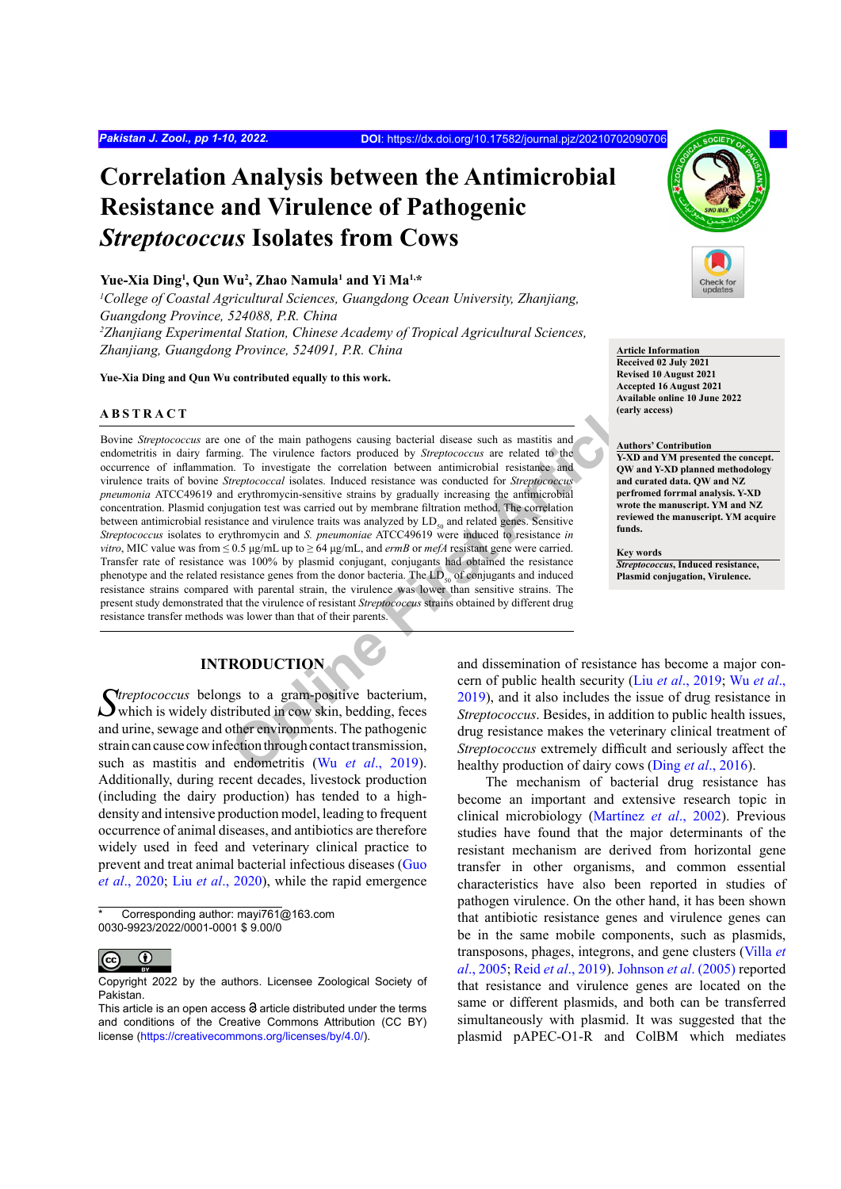# **Correlation Analysis between the Antimicrobial Resistance and Virulence of Pathogenic**  *Streptococcus* **Isolates from Cows**

## **Yue-Xia Ding1 , Qun Wu2 , Zhao Namula1 and Yi Ma1,\***

<sup>1</sup>College of Coastal Agricultural Sciences, Guangdong Ocean University, Zhanjiang, *Guangdong Province, 524088, P.R. China*

*2 Zhanjiang Experimental Station, Chinese Academy of Tropical Agricultural Sciences, Zhanjiang, Guangdong Province, 524091, P.R. China*

**Yue-Xia Ding and Qun Wu contributed equally to this work.**

#### **ABSTRACT**

The virtue correlation of the main pathogens causing bacterial disease such as mastitis and<br>
In The virtuence factors produced by *Streptococcus* are related to the<br> *Techy exceptococcus* isolates. Induced resistance and d Bovine *Streptococcus* are one of the main pathogens causing bacterial disease such as mastitis and endometritis in dairy farming. The virulence factors produced by *Streptococcus* are related to the occurrence of inflammation. To investigate the correlation between antimicrobial resistance and virulence traits of bovine *Streptococcal* isolates. Induced resistance was conducted for *Streptococcus pneumonia* ATCC49619 and erythromycin-sensitive strains by gradually increasing the antimicrobial concentration. Plasmid conjugation test was carried out by membrane filtration method. The correlation between antimicrobial resistance and virulence traits was analyzed by  $LD<sub>o</sub>$  and related genes. Sensitive *Streptococcus* isolates to erythromycin and *S. pneumoniae* ATCC49619 were induced to resistance *in vitro*, MIC value was from ≤ 0.5 μg/mL up to ≥ 64 μg/mL, and *ermB* or *mefA* resistant gene were carried. Transfer rate of resistance was 100% by plasmid conjugant, conjugants had obtained the resistance phenotype and the related resistance genes from the donor bacteria. The  $LD_{50}$  of conjugants and induced resistance strains compared with parental strain, the virulence was lower than sensitive strains. The present study demonstrated that the virulence of resistant *Streptococcus* strains obtained by different drug resistance transfer methods was lower than that of their parents.

## **INTRODUCTION**

Streptococcus belongs to a gram-positive bacterium, which is widely distributed in cow skin, bedding, feces and urine, sewage and other environments. The pathogenic strain can cause cow infection through contact transmission, such as mastitis and endometritis (Wu *et al*., 2019). Additionally, during recent decades, livestock production (including the dairy production) has tended to a highdensity and intensive production model, leading to frequent occurrence of animal diseases, and antibiotics are therefore widely used in feed and veterinary clinical practice to prevent and treat animal bacterial infectious diseases [\(Guo](#page-7-0) *et al*[., 2020](#page-7-0); Liu *et al*[., 2020](#page-8-1)), while the rapid emergence

Corresponding author: mayi761@163.com 0030-9923/2022/0001-0001 \$ 9.00/0



Copyright 2022 by the authors. Licensee Zoological Society of Pakistan.



**Article Information Received 02 July 2021 Revised 10 August 2021 Accepted 16 August 2021 Available online 10 June 2022 (early access)**

#### **Authors' Contribution**

**Y-XD and YM presented the concept. QW and Y-XD planned methodology and curated data. QW and NZ perfromed forrmal analysis. Y-XD wrote the manuscript. YM and NZ reviewed the manuscript. YM acquire funds.**

**Key words** *Streptococcus***, Induced resistance, Plasmid conjugation, Virulence.**

and dissemination of resistance has become a major concern of public health security (Liu *et al*[., 2019](#page-8-2); [Wu](#page-8-0) *et al*., 2019), and it also includes the issue of drug resistance in *Streptococcus*. Besides, in addition to public health issues, drug resistance makes the veterinary clinical treatment of *Streptococcus* extremely difficult and seriously affect the healthy production of dairy cows (Ding *et al*[., 2016](#page-7-1)).

The mechanism of bacterial drug resistance has become an important and extensive research topic in clinical microbiology (Martínez *et al*., 2002). Previous studies have found that the major determinants of the resistant mechanism are derived from horizontal gene transfer in other organisms, and common essential characteristics have also been reported in studies of pathogen virulence. On the other hand, it has been shown that antibiotic resistance genes and virulence genes can be in the same mobile components, such as plasmids, transposons, phages, integrons, and gene clusters [\(Villa](#page-9-0) *et al*[., 2005;](#page-9-0) Reid *et al*[., 2019](#page-9-1)). Johnson *et al*. (2005) reported that resistance and virulence genes are located on the same or different plasmids, and both can be transferred simultaneously with plasmid. It was suggested that the plasmid pAPEC-O1-R and ColBM which mediates

This article is an open access  $\Theta$  article distributed under the terms and conditions of the Creative Commons Attribution (CC BY) license (<https://creativecommons.org/licenses/by/4.0/>).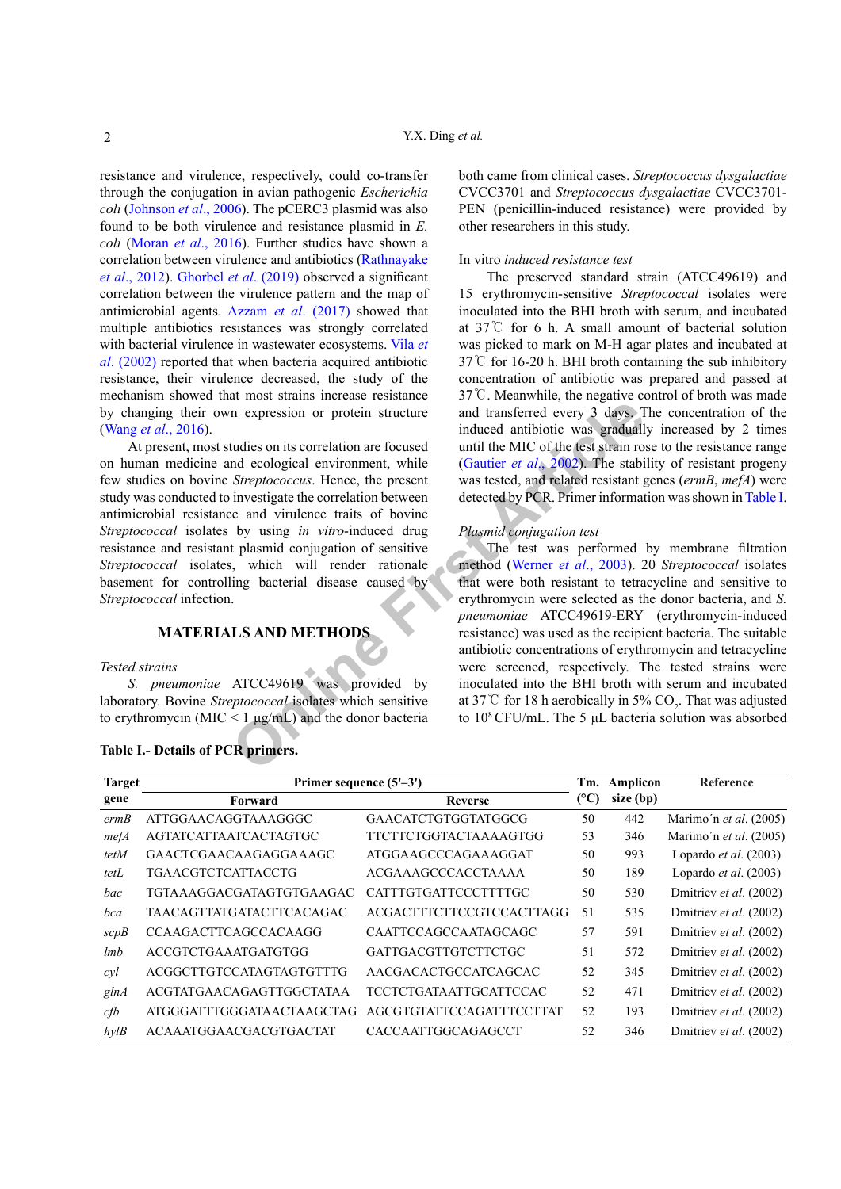resistance and virulence, respectively, could co-transfer through the conjugation in avian pathogenic *Escherichia coli* [\(Johnson](#page-7-2) *et al*., 2006). The pCERC3 plasmid was also found to be both virulence and resistance plasmid in *E. coli* ([Moran](#page-8-3) *et al*., 2016). Further studies have shown a correlation between virulence and antibiotics ([Rathnayake](#page-9-2) *et al*[., 2012\)](#page-9-2). [Ghorbel](#page-7-3) *et al*. (2019) observed a significant correlation between the virulence pattern and the map of antimicrobial agents. Azzam *et al*[. \(2017\)](#page-7-4) showed that multiple antibiotics resistances was strongly correlated with bacterial virulence in wastewater ecosystems. [Vila](#page-9-3) *et al*[. \(2002\)](#page-9-3) reported that when bacteria acquired antibiotic resistance, their virulence decreased, the study of the mechanism showed that most strains increase resistance by changing their own expression or protein structure (Wang *et al*[., 2016\)](#page-9-4).

At present, most studies on its correlation are focused on human medicine and ecological environment, while few studies on bovine *Streptococcus*. Hence, the present study was conducted to investigate the correlation between antimicrobial resistance and virulence traits of bovine *Streptococcal* isolates by using *in vitro*-induced drug resistance and resistant plasmid conjugation of sensitive *Streptococcal* isolates, which will render rationale basement for controlling bacterial disease caused by *Streptococcal* infection.

## **MATERIALS AND METHODS**

#### *Tested strains*

*S. pneumoniae* ATCC49619 was provided by laboratory. Bovine *Streptococcal* isolates which sensitive to erythromycin (MIC < 1  $\mu$ g/mL) and the donor bacteria

37℃ for 16-20 h. BHI broth containing the sub inhibitory concentration of antibiotic was prepared and passed at

37℃. Meanwhile, the negative control of broth was made and transferred every 3 days. The concentration of the induced antibiotic was gradually increased by 2 times until the MIC of the test strain rose to the resistance range (Gautier *et al*., 2002). The stability of resistant progeny was tested, and related resistant genes (*ermB*, *mefA*) were detected by PCR. Primer information was shown in [Table](#page-1-0) I.

## *Plasmid conjugation test*

**Example 1.1** and the donor based by the donor based is a spectra to the donor based in the set of the set of the set of the set of the set of the set of the set of the set of the set of the set of the set of the set of t The test was performed by membrane filtration method (Werner *et al*., 2003). 20 *Streptococcal* isolates that were both resistant to tetracycline and sensitive to erythromycin were selected as the donor bacteria, and *S. pneumoniae* ATCC49619-ERY (erythromycin-induced resistance) was used as the recipient bacteria. The suitable antibiotic concentrations of erythromycin and tetracycline were screened, respectively. The tested strains were inoculated into the BHI broth with serum and incubated at 37°C for 18 h aerobically in 5%  $CO_2$ . That was adjusted to 108 CFU/mL. The 5 μL bacteria solution was absorbed

| <b>Target</b> | Primer sequence $(5'-3')$     |                                 | Tm. Amplicon | Reference |                                |
|---------------|-------------------------------|---------------------------------|--------------|-----------|--------------------------------|
| gene          | Forward                       | Reverse                         | (°C)         | size (bp) |                                |
| ermB          | ATTGGAACAGGTAAAGGGC           | <b>GAACATCTGTGGTATGGCG</b>      | 50           | 442       | Marimo'n et al. (2005)         |
| mefA          | <b>AGTATCATTAATCACTAGTGC</b>  | <b>TTCTTCTGGTACTAAAAGTGG</b>    | 53           | 346       | Marimo'n <i>et al.</i> (2005)  |
| tetM          | GAACTCGAACAAGAGGAAAGC         | ATGGAAGCCCAGAAAGGAT             | 50           | 993       | Lopardo <i>et al.</i> $(2003)$ |
| tetL          | <b>TGAACGTCTCATTACCTG</b>     | <b>ACGAAAGCCCACCTAAAA</b>       | 50           | 189       | Lopardo <i>et al.</i> $(2003)$ |
| bac           | TGTAAAGGACGATAGTGTGAAGAC      | CATTTGTGATTCCCTTTTGC            | 50           | 530       | Dmitriev et al. (2002)         |
| bca           | TAACAGTTATGATACTTCACAGAC      | ACGACTTTCTTCCGTCCACTTAGG        | 51           | 535       | Dmitriev et al. (2002)         |
| scpB          | <b>CCAAGACTTCAGCCACAAGG</b>   | <b>CAATTCCAGCCAATAGCAGC</b>     | 57           | 591       | Dmitriev et al. (2002)         |
| lmb           | ACCGTCTGAAATGATGTGG           | <b>GATTGACGTTGTCTTCTGC</b>      | 51           | 572       | Dmitriev et al. (2002)         |
| cvl           | ACGGCTTGTCCATAGTAGTGTTTG      | AACGACACTGCCATCAGCAC            | 52           | 345       | Dmitriev et al. (2002)         |
| glnA          | ACGTATGAACAGAGTTGGCTATAA      | TCCTCTGATA ATTGCATTCCAC         | 52           | 471       | Dmitriev et al. (2002)         |
| cfb           | ATGGGATTTGGGATAACTAAGCTAG     | <b>AGCGTGTATTCCAGATTTCCTTAT</b> | 52           | 193       | Dmitriev et al. (2002)         |
| hvlB          | <b>ACAAATGGAACGACGTGACTAT</b> | CACCAATTGGCAGAGCCT              | 52           | 346       | Dmitriev et al. (2002)         |

## <span id="page-1-0"></span>**Table I.- Details of PCR primers.**

both came from clinical cases. *Streptococcus dysgalactiae*  CVCC3701 and *Streptococcus dysgalactiae* CVCC3701- PEN (penicillin-induced resistance) were provided by other researchers in this study.

The preserved standard strain (ATCC49619) and 15 erythromycin-sensitive *Streptococcal* isolates were inoculated into the BHI broth with serum, and incubated at 37℃ for 6 h. A small amount of bacterial solution was picked to mark on M-H agar plates and incubated at

#### In vitro *induced resistance test*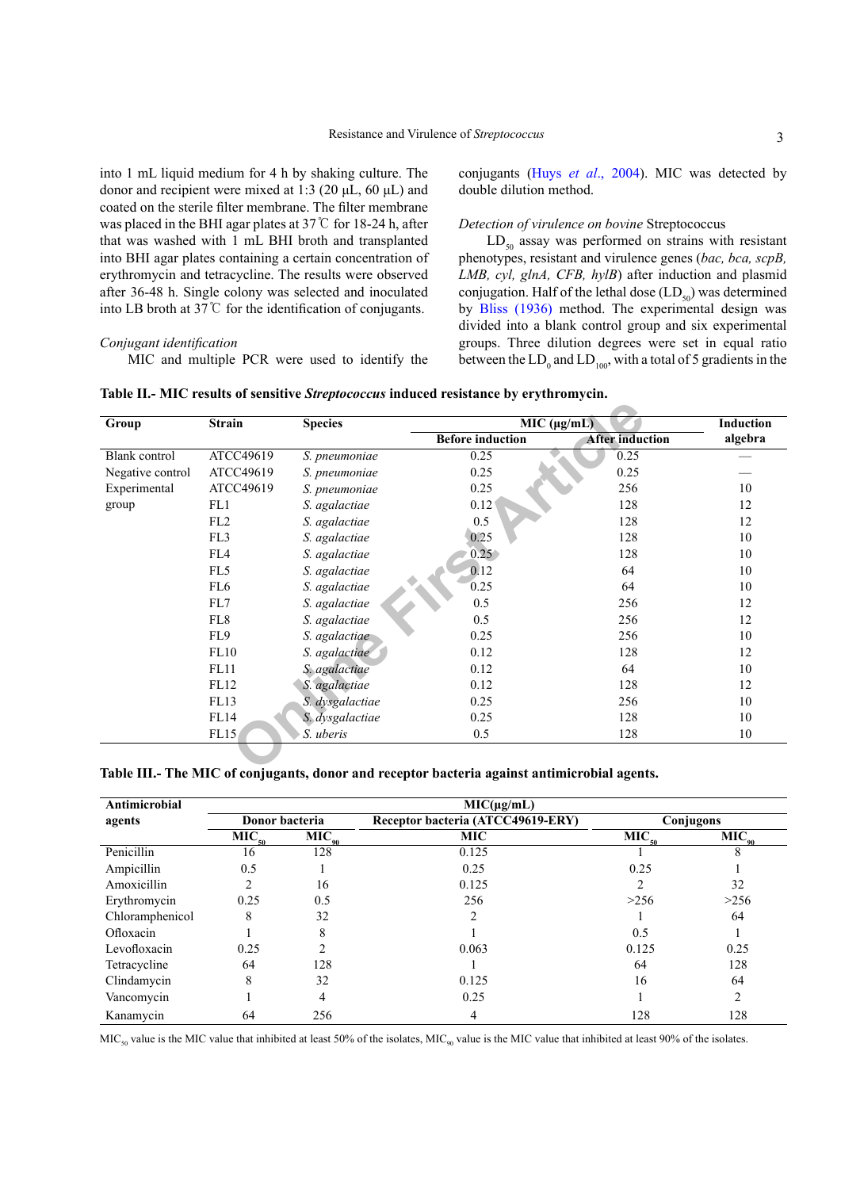into 1 mL liquid medium for 4 h by shaking culture. The donor and recipient were mixed at 1:3 (20 μL, 60 μL) and coated on the sterile filter membrane. The filter membrane was placed in the BHI agar plates at 37℃ for 18-24 h, after that was washed with 1 mL BHI broth and transplanted into BHI agar plates containing a certain concentration of erythromycin and tetracycline. The results were observed after 36-48 h. Single colony was selected and inoculated into LB broth at 37℃ for the identification of conjugants.

## *Conjugant identification*

MIC and multiple PCR were used to identify the

conjugants (Huys *et al*[., 2004](#page-7-6)). MIC was detected by double dilution method.

## *Detection of virulence on bovine* Streptococcus

 $LD_{50}$  assay was performed on strains with resistant phenotypes, resistant and virulence genes (*bac, bca, scpB, LMB, cyl, glnA, CFB, hylB*) after induction and plasmid conjugation. Half of the lethal dose  $(LD_{50})$  was determined by [Bliss \(1936\)](#page-7-7) method. The experimental design was divided into a blank control group and six experimental groups. Three dilution degrees were set in equal ratio between the  $LD_0$  and  $LD_{100}$ , with a total of 5 gradients in the

| Group            | <b>Strain</b>   | <b>Species</b>  |                         | $\overline{\text{MIC}}$ (µg/mL) |         |  |
|------------------|-----------------|-----------------|-------------------------|---------------------------------|---------|--|
|                  |                 |                 | <b>Before induction</b> | <b>After induction</b>          | algebra |  |
| Blank control    | ATCC49619       | S. pneumoniae   | 0.25                    | 0.25                            |         |  |
| Negative control | ATCC49619       | S. pneumoniae   | 0.25                    | 0.25                            |         |  |
| Experimental     | ATCC49619       | S. pneumoniae   | 0.25                    | 256                             | 10      |  |
| group            | FL1             | S. agalactiae   | 0.12                    | 128                             | 12      |  |
|                  | FL2             | S. agalactiae   | 0.5                     | 128                             | 12      |  |
|                  | FL3             | S. agalactiae   | 0.25                    | 128                             | 10      |  |
|                  | FL4             | S. agalactiae   | 0.25 <sub>o</sub>       | 128                             | 10      |  |
|                  | FL5             | S. agalactiae   | 0.12                    | 64                              | 10      |  |
|                  | FL <sub>6</sub> | S. agalactiae   | 0.25                    | 64                              | 10      |  |
|                  | FL7             | S. agalactiae   | 0.5                     | 256                             | 12      |  |
|                  | FL8             | S. agalactiae   | 0.5                     | 256                             | 12      |  |
|                  | FL9             | S. agalactiae   | 0.25                    | 256                             | 10      |  |
|                  | FL10            | S. agalactiae   | 0.12                    | 128                             | 12      |  |
|                  | FL11            | S. agalactiae   | 0.12                    | 64                              | 10      |  |
|                  | FL12            | S. agalactiae   | 0.12                    | 128                             | 12      |  |
|                  | FL13            | S. dysgalactiae | 0.25                    | 256                             | 10      |  |
|                  | <b>FL14</b>     | S. dysgalactiae | 0.25                    | 128                             | 10      |  |
|                  | FL15            | S. uberis       | 0.5                     | 128                             | 10      |  |

<span id="page-2-0"></span>**Table II.- MIC results of sensitive** *Streptococcus* **induced resistance by erythromycin.**

## <span id="page-2-1"></span>**Table III.- The MIC of conjugants, donor and receptor bacteria against antimicrobial agents.**

| Antimicrobial   | $MIC(\mu g/mL)$   |            |                                   |                   |            |  |  |
|-----------------|-------------------|------------|-----------------------------------|-------------------|------------|--|--|
| agents          | Donor bacteria    |            | Receptor bacteria (ATCC49619-ERY) | Conjugons         |            |  |  |
|                 | MIC <sub>50</sub> | $MIC_{90}$ | <b>MIC</b>                        | MIC <sub>50</sub> | $MIC_{90}$ |  |  |
| Penicillin      | 16                | 128        | 0.125                             |                   |            |  |  |
| Ampicillin      | 0.5               |            | 0.25                              | 0.25              |            |  |  |
| Amoxicillin     | 2                 | 16         | 0.125                             |                   | 32         |  |  |
| Erythromycin    | 0.25              | 0.5        | 256                               | >256              | >256       |  |  |
| Chloramphenicol | 8                 | 32         |                                   |                   | 64         |  |  |
| Ofloxacin       |                   | 8          |                                   | 0.5               |            |  |  |
| Levofloxacin    | 0.25              |            | 0.063                             | 0.125             | 0.25       |  |  |
| Tetracycline    | 64                | 128        |                                   | 64                | 128        |  |  |
| Clindamycin     | 8                 | 32         | 0.125                             | 16                | 64         |  |  |
| Vancomycin      |                   | 4          | 0.25                              |                   | 2          |  |  |
| Kanamycin       | 64                | 256        | 4                                 | 128               | 128        |  |  |

 $MIC<sub>50</sub>$  value is the MIC value that inhibited at least 50% of the isolates, MIC<sub>90</sub> value is the MIC value that inhibited at least 90% of the isolates.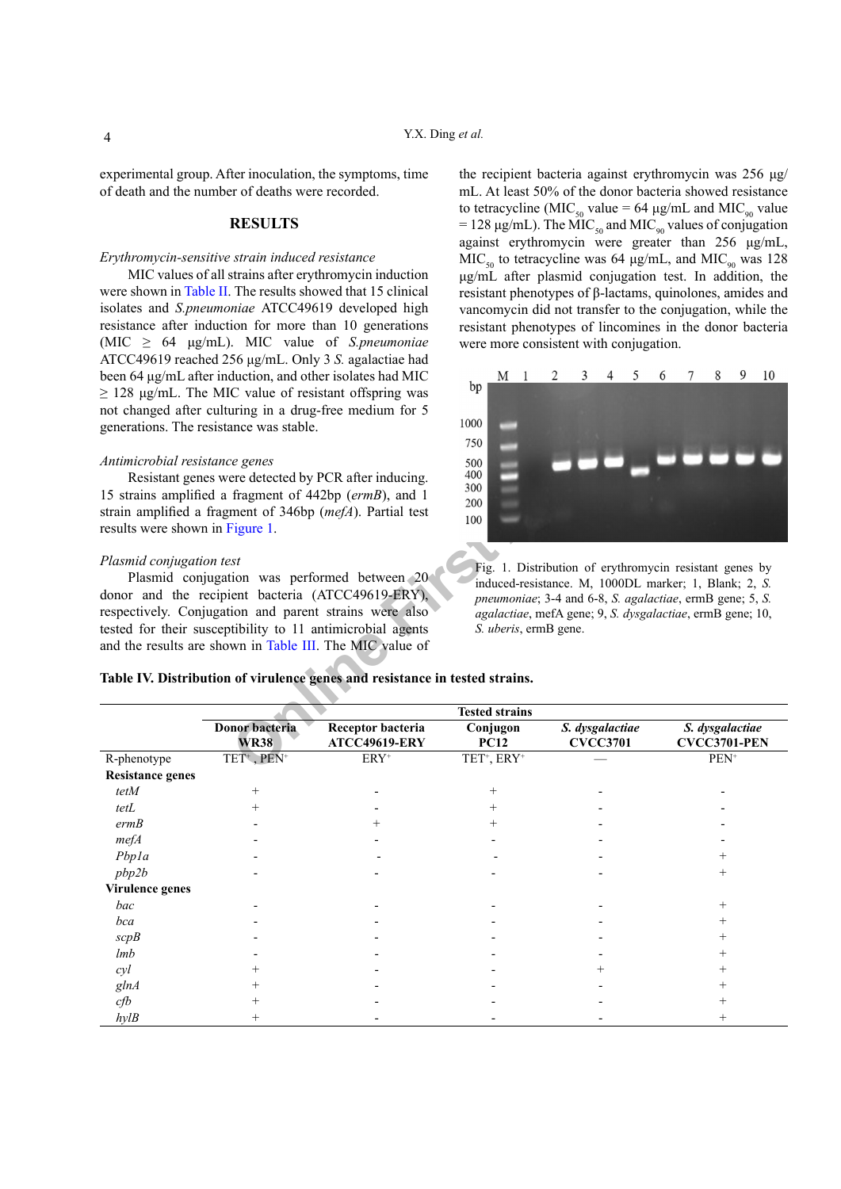experimental group. After inoculation, the symptoms, time of death and the number of deaths were recorded.

## **RESULTS**

## *Erythromycin-sensitive strain induced resistance*

MIC values of all strains after erythromycin induction were shown in [Table](#page-2-0) II. The results showed that 15 clinical isolates and *S.pneumoniae* ATCC49619 developed high resistance after induction for more than 10 generations (MIC ≥ 64 μg/mL). MIC value of *S.pneumoniae*  ATCC49619 reached 256 μg/mL. Only 3 *S.* agalactiae had been 64 μg/mL after induction, and other isolates had MIC  $\geq$  128 μg/mL. The MIC value of resistant offspring was not changed after culturing in a drug-free medium for 5 generations. The resistance was stable.

## *Antimicrobial resistance genes*

#### *Plasmid conjugation test*

the recipient bacteria against erythromycin was 256 μg/ mL. At least 50% of the donor bacteria showed resistance to tetracycline (MIC<sub>50</sub> value = 64 μg/mL and MIC<sub>90</sub> value = 128  $\mu$ g/mL). The MIC<sub>50</sub> and MIC<sub>90</sub> values of conjugation against erythromycin were greater than 256 μg/mL,  $MIC<sub>50</sub>$  to tetracycline was 64 μg/mL, and MIC<sub>90</sub> was 128 μg/mL after plasmid conjugation test. In addition, the resistant phenotypes of β-lactams, quinolones, amides and vancomycin did not transfer to the conjugation, while the resistant phenotypes of lincomines in the donor bacteria were more consistent with conjugation.



<span id="page-3-0"></span>Fig. 1. Distribution of erythromycin resistant genes by induced-resistance. M, 1000DL marker; 1, Blank; 2, *S. pneumoniae*; 3-4 and 6-8, *S. agalactiae*, ermB gene; 5, *S. agalactiae*, mefA gene; 9, *S. dysgalactiae*, ermB gene; 10, *S. uberis*, ermB gene.

<span id="page-3-1"></span>

| Table IV. Distribution of virulence genes and resistance in tested strains. |  |
|-----------------------------------------------------------------------------|--|
|-----------------------------------------------------------------------------|--|

|                                                                   | not changed after culturing in a drug-free medium for 5<br>generations. The resistance was stable.                                                                                                                                    |                                                                                                                             | 1000<br>750                         |                                                                                                                   |                                                                                                                      |  |  |
|-------------------------------------------------------------------|---------------------------------------------------------------------------------------------------------------------------------------------------------------------------------------------------------------------------------------|-----------------------------------------------------------------------------------------------------------------------------|-------------------------------------|-------------------------------------------------------------------------------------------------------------------|----------------------------------------------------------------------------------------------------------------------|--|--|
| Antimicrobial resistance genes<br>results were shown in Figure 1. | Resistant genes were detected by PCR after inducing.<br>15 strains amplified a fragment of 442bp (ermB), and 1<br>strain amplified a fragment of 346bp (mefA). Partial test                                                           |                                                                                                                             | 500<br>400<br>300<br>200<br>100     |                                                                                                                   |                                                                                                                      |  |  |
| Plasmid conjugation test                                          | donor and the recipient bacteria (ATCC49619-ERY),<br>respectively. Conjugation and parent strains were also<br>tested for their susceptibility to 11 antimicrobial agents<br>and the results are shown in Table III. The MIC value of | Plasmid conjugation was performed between 20<br>Table IV. Distribution of virulence genes and resistance in tested strains. | S. uberis, ermB gene.               | induced-resistance. M, 1000DL marker; 1, Blank; 2, S.<br>pneumoniae; 3-4 and 6-8, S. agalactiae, ermB gene; 5, S. | Fig. 1. Distribution of erythromycin resistant genes by<br>agalactiae, mefA gene; 9, S. dysgalactiae, ermB gene; 10, |  |  |
|                                                                   |                                                                                                                                                                                                                                       |                                                                                                                             | <b>Tested strains</b>               |                                                                                                                   |                                                                                                                      |  |  |
|                                                                   | <b>Donor</b> bacteria<br><b>WR38</b>                                                                                                                                                                                                  | Receptor bacteria<br><b>ATCC49619-ERY</b>                                                                                   | Conjugon<br><b>PC12</b>             | S. dysgalactiae<br><b>CVCC3701</b>                                                                                | S. dysgalactiae<br>CVCC3701-PEN                                                                                      |  |  |
| R-phenotype                                                       | TET <sup>+</sup> , PEN <sup>+</sup>                                                                                                                                                                                                   | $ERY^+$                                                                                                                     | TET <sup>+</sup> , ERY <sup>+</sup> |                                                                                                                   | $PEN^+$                                                                                                              |  |  |
| <b>Resistance genes</b>                                           |                                                                                                                                                                                                                                       |                                                                                                                             |                                     |                                                                                                                   |                                                                                                                      |  |  |
| tetM                                                              | $^{+}$                                                                                                                                                                                                                                |                                                                                                                             | $^{+}$                              |                                                                                                                   |                                                                                                                      |  |  |
| tetL                                                              |                                                                                                                                                                                                                                       |                                                                                                                             | $\hspace{0.1mm} +$                  |                                                                                                                   |                                                                                                                      |  |  |
| ermB                                                              |                                                                                                                                                                                                                                       |                                                                                                                             |                                     |                                                                                                                   |                                                                                                                      |  |  |
| mefA                                                              |                                                                                                                                                                                                                                       |                                                                                                                             |                                     |                                                                                                                   |                                                                                                                      |  |  |
| Pbpla                                                             |                                                                                                                                                                                                                                       |                                                                                                                             |                                     |                                                                                                                   |                                                                                                                      |  |  |
| pbp2b                                                             |                                                                                                                                                                                                                                       |                                                                                                                             |                                     |                                                                                                                   | $^+$                                                                                                                 |  |  |
| Virulence genes                                                   |                                                                                                                                                                                                                                       |                                                                                                                             |                                     |                                                                                                                   |                                                                                                                      |  |  |
| bac                                                               |                                                                                                                                                                                                                                       |                                                                                                                             |                                     |                                                                                                                   | $^+$                                                                                                                 |  |  |
| bca                                                               |                                                                                                                                                                                                                                       |                                                                                                                             |                                     |                                                                                                                   | $^{+}$                                                                                                               |  |  |
| scpB                                                              |                                                                                                                                                                                                                                       |                                                                                                                             |                                     |                                                                                                                   | $^+$                                                                                                                 |  |  |
| lmb                                                               |                                                                                                                                                                                                                                       |                                                                                                                             |                                     |                                                                                                                   | $\hspace{0.1mm} +$                                                                                                   |  |  |
| cyl                                                               |                                                                                                                                                                                                                                       |                                                                                                                             |                                     |                                                                                                                   | $\,{}^{+}\,$                                                                                                         |  |  |
| glnA                                                              |                                                                                                                                                                                                                                       |                                                                                                                             |                                     |                                                                                                                   |                                                                                                                      |  |  |
| cfb                                                               |                                                                                                                                                                                                                                       |                                                                                                                             |                                     |                                                                                                                   | $\hspace{0.1mm} +$                                                                                                   |  |  |
| hylB                                                              | $^{+}$                                                                                                                                                                                                                                |                                                                                                                             |                                     |                                                                                                                   | $^{+}$                                                                                                               |  |  |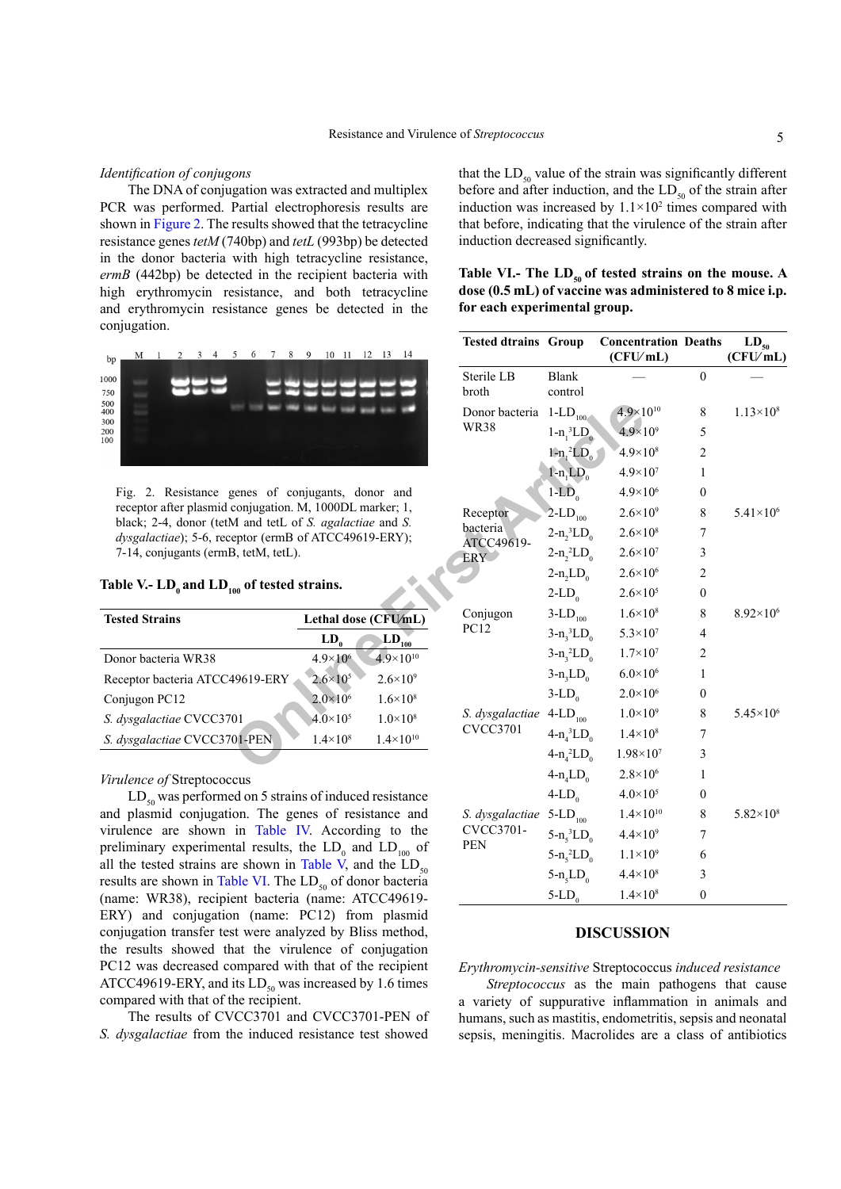*Identification of conjugons*

The DNA of conjugation was extracted and multiplex PCR was performed. Partial electrophoresis results are shown in [Figure](#page-4-0) 2. The results showed that the tetracycline resistance genes *tetM* (740bp) and *tetL* (993bp) be detected in the donor bacteria with high tetracycline resistance, *ermB* (442bp) be detected in the recipient bacteria with high erythromycin resistance, and both tetracycline and erythromycin resistance genes be detected in the conjugation.



<span id="page-4-0"></span>Fig. 2. Resistance genes of conjugants, donor and receptor after plasmid conjugation. M, 1000DL marker; 1, black; 2-4, donor (tetM and tetL of *S. agalactiae* and *S. dysgalactiae*); 5-6, receptor (ermB of ATCC49619-ERY); 7-14, conjugants (ermB, tetM, tetL).

## <span id="page-4-1"></span>Table V.-  $LD_0$  and  $LD_{100}$  of tested strains.

| <b>Tested Strains</b>           | Lethal dose (CFU/mL) |                     |  |  |
|---------------------------------|----------------------|---------------------|--|--|
|                                 | $LD_{c}$             | 100                 |  |  |
| Donor bacteria WR38             | $4.9\times10^{6}$    | $4.9\times10^{10}$  |  |  |
| Receptor bacteria ATCC49619-ERY | $2.6 \times 10^{5}$  | $2.6 \times 10^{9}$ |  |  |
| Conjugon PC12                   | $2.0 \times 10^{6}$  | $1.6 \times 10^8$   |  |  |
| S. dysgalactiae CVCC3701        | $4.0 \times 10^{5}$  | $1.0\times10^{8}$   |  |  |
| S. dysgalactiae CVCC3701-PEN    | $1.4 \times 10^8$    | $1.4\times10^{10}$  |  |  |

*Virulence of* Streptococcus

 $LD_{50}$  was performed on 5 strains of induced resistance and plasmid conjugation. The genes of resistance and virulence are shown in [Table](#page-3-1) IV. According to the preliminary experimental results, the  $LD_0$  and  $LD_{100}$  of all the tested strains are shown in [Table](#page-4-1) V, and the  $LD_{50}$ results are shown in [Table](#page-4-2) VI. The  $LD_{50}$  of donor bacteria (name: WR38), recipient bacteria (name: ATCC49619- ERY) and conjugation (name: PC12) from plasmid conjugation transfer test were analyzed by Bliss method, the results showed that the virulence of conjugation PC12 was decreased compared with that of the recipient ATCC49619-ERY, and its  $LD_{50}$  was increased by 1.6 times compared with that of the recipient.

The results of CVCC3701 and CVCC3701-PEN of *S. dysgalactiae* from the induced resistance test showed that the  $LD_{50}$  value of the strain was significantly different before and after induction, and the  $LD_{50}$  of the strain after induction was increased by  $1.1 \times 10^2$  times compared with that before, indicating that the virulence of the strain after induction decreased significantly.

<span id="page-4-2"></span>Table VI.- The  $LD_{50}$  of tested strains on the mouse. A **dose (0.5 mL) of vaccine was administered to 8 mice i.p. for each experimental group.**

| 10 11 12 13 14<br>5<br>6<br>9<br>$7\phantom{.0}\phantom{.0}7$<br>8                | <b>Tested dtrains Group</b>            |                          | <b>Concentration Deaths</b><br>(CFU/ml) |                  | $LD_{50}$<br>(CFU/ml) |
|-----------------------------------------------------------------------------------|----------------------------------------|--------------------------|-----------------------------------------|------------------|-----------------------|
|                                                                                   | Sterile LB<br>broth                    | <b>Blank</b><br>control  |                                         | $\theta$         |                       |
|                                                                                   | Donor bacteria                         | $1$ -LD <sub>100</sub>   | $4.9 \times 10^{10}$                    | $\,$ 8 $\,$      | $1.13\times10^{8}$    |
|                                                                                   | <b>WR38</b>                            | $1 - n_1^3 L D_0$        | $4.9\times10^{9}$                       | 5                |                       |
|                                                                                   |                                        | $1-n_1^2LD_0$            | $4.9\times10^{8}$                       | $\overline{c}$   |                       |
|                                                                                   |                                        | $1-n$ <sub>L</sub> $D_0$ | $4.9 \times 10^{7}$                     | 1                |                       |
| genes of conjugants, donor and                                                    |                                        | $1-LD0$                  | $4.9 \times 10^{6}$                     | $\mathbf{0}$     |                       |
| conjugation. M, 1000DL marker; 1,                                                 | Receptor                               | $2$ -LD <sub>100</sub>   | $2.6 \times 10^{9}$                     | 8                | $5.41\times10^{6}$    |
| M and tetL of S. agalactiae and S.<br>eptor (ermB of ATCC49619-ERY);              | bacteria                               | $2-n_2^3LD_0$            | $2.6 \times 10^{8}$                     | 7                |                       |
| B, tetM, tetL).                                                                   | ATCC49619-<br>ERY                      | $2-n2^2LD0$              | $2.6 \times 10^{7}$                     | 3                |                       |
|                                                                                   |                                        | $2-n,LD0$                | $2.6 \times 10^{6}$                     | 2                |                       |
| <sub>100</sub> of tested strains.                                                 |                                        | $2-LD_0$                 | $2.6 \times 10^{5}$                     | $\mathbf{0}$     |                       |
| Lethal dose (CFU/mL)                                                              | Conjugon                               | $3$ -LD <sub>100</sub>   | $1.6 \times 10^8$                       | 8                | $8.92\times10^{6}$    |
| $LD_0$<br>$LD_{100}$                                                              | PC12                                   | $3-n_3^3LD_0$            | $5.3 \times 10^{7}$                     | 4                |                       |
| $4.9\times10^{6}$<br>$4.9 \times 10^{10}$                                         |                                        | $3-n_{3}^{2}LD_{0}$      | $1.7 \times 10^{7}$                     | $\overline{2}$   |                       |
| $2.6 \times 10^{5}$<br>$2.6 \times 10^{9}$<br>49619-ERY                           |                                        | $3-n3LD0$                | $6.0 \times 10^{6}$                     | 1                |                       |
| $2.0 \times 10^{6}$<br>$1.6 \times 10^{8}$                                        |                                        | $3-LD_0$                 | $2.0 \times 10^{6}$                     | $\theta$         |                       |
| 01<br>$4.0 \times 10^{5}$<br>$1.0 \times 10^{8}$                                  | S. dysgalactiae $4-LD_{100}$           |                          | $1.0\times10^{9}$                       | 8                | $5.45\times10^{6}$    |
| $1.4 \times 10^8$<br>$1.4 \times 10^{10}$<br>$01$ -PEN                            | <b>CVCC3701</b>                        | $4-n_4^3LD_0$            | $1.4 \times 10^8$                       | 7                |                       |
|                                                                                   |                                        | $4-n42LD0$               | $1.98 \times 10^{7}$                    | 3                |                       |
| cus:                                                                              |                                        | $4-n_4LD_0$              | $2.8 \times 10^{6}$                     | 1                |                       |
| ed on 5 strains of induced resistance                                             |                                        | $4$ -LD <sub>0</sub>     | $4.0 \times 10^{5}$                     | $\mathbf{0}$     |                       |
| ion. The genes of resistance and                                                  | S. dysgalactiae $5$ -LD <sub>100</sub> |                          | $1.4 \times 10^{10}$                    | 8                | $5.82\times10^{8}$    |
| in Table IV. According to the                                                     | CVCC3701-                              | $5-n_5^3LD_0$            | $4.4 \times 10^{9}$                     | 7                |                       |
| tal results, the $LD_0$ and $LD_{100}$ of                                         | <b>PEN</b>                             | $5-n_{s}^{2}LD_{0}$      | $1.1 \times 10^{9}$                     | 6                |                       |
| re shown in Table V, and the $LD_{50}$<br>ble VI. The $LD_{50}$ of donor bacteria |                                        | $5-nsLD0$                | $4.4 \times 10^{8}$                     | 3                |                       |
| ent bacteria (name: ATCC49619-                                                    |                                        | $5$ -LD <sub>0</sub>     | $1.4\times10^{8}$                       | $\boldsymbol{0}$ |                       |

## **DISCUSSION**

*Erythromycin-sensitive* Streptococcus *induced resistance*

*Streptococcus* as the main pathogens that cause a variety of suppurative inflammation in animals and humans, such as mastitis, endometritis, sepsis and neonatal sepsis, meningitis. Macrolides are a class of antibiotics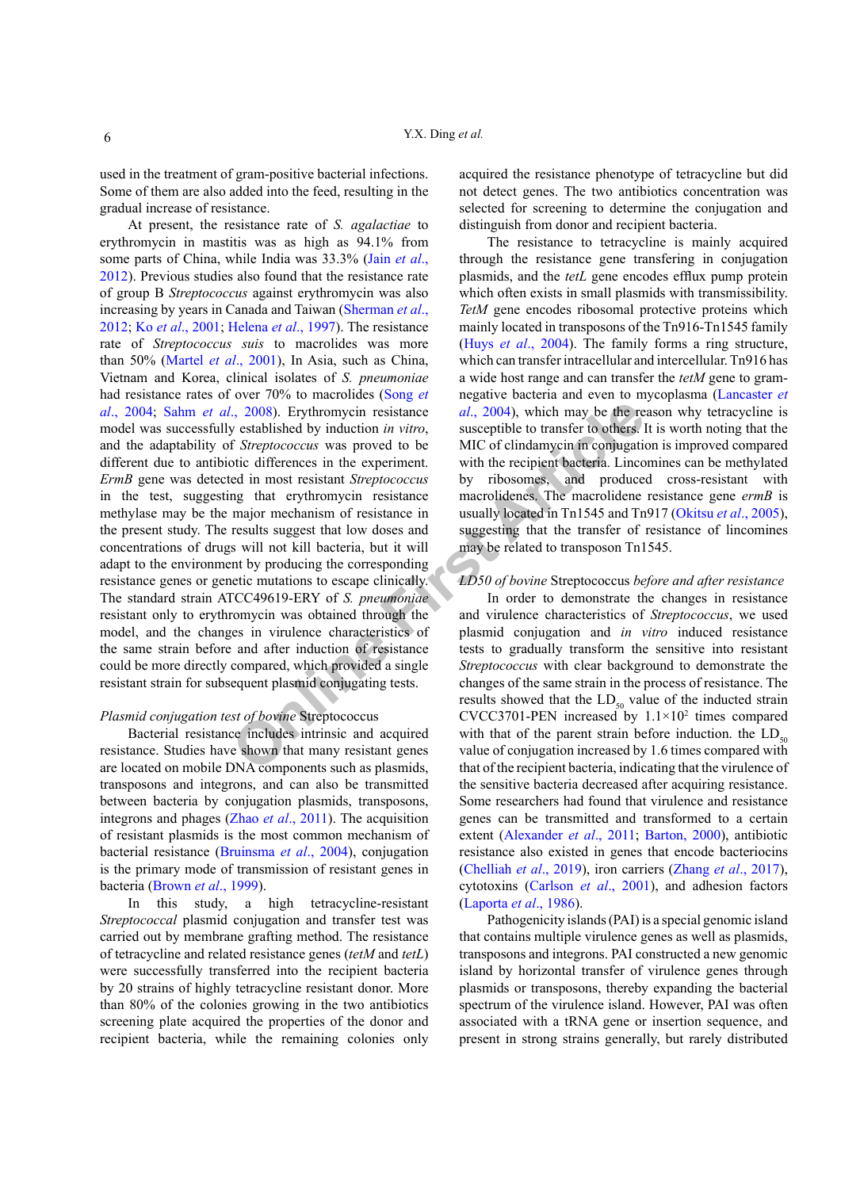used in the treatment of gram-positive bacterial infections. Some of them are also added into the feed, resulting in the gradual increase of resistance.

*l.*, 2008). Erythromycin resistance<br> *d.*, 2004), which may be the reversalished by induction *in vitro*,<br>
susceptible to transfer to others. I<br>
original Streptococcus was proved to be<br>
MIC of clindamycin in conjugation<br> At present, the resistance rate of *S. agalactiae* to erythromycin in mastitis was as high as 94.1% from some parts of China, while India was 33.3% (Jain *[et al](#page-7-8)*., [2012\)](#page-7-8). Previous studies also found that the resistance rate of group B *Streptococcus* against erythromycin was also increasing by years in Canada and Taiwan ([Sherman](#page-9-6) *et al*., [2012;](#page-9-6) Ko *et al*[., 2001](#page-8-4); [Helena](#page-7-9) *et al*., 1997). The resistance rate of *Streptococcus suis* to macrolides was more than 50% (Martel *et al*[., 2001](#page-8-5)), In Asia, such as China, Vietnam and Korea, clinical isolates of *S. pneumoniae* had resistance rates of over 70% to macrolides ([Song](#page-9-7) *et al*[., 2004](#page-9-7); Sahm *et al*., 2008). Erythromycin resistance model was successfully established by induction *in vitro*, and the adaptability of *Streptococcus* was proved to be different due to antibiotic differences in the experiment. *ErmB* gene was detected in most resistant *Streptococcus* in the test, suggesting that erythromycin resistance methylase may be the major mechanism of resistance in the present study. The results suggest that low doses and concentrations of drugs will not kill bacteria, but it will adapt to the environment by producing the corresponding resistance genes or genetic mutations to escape clinically. The standard strain ATCC49619-ERY of *S. pneumoniae* resistant only to erythromycin was obtained through the model, and the changes in virulence characteristics of the same strain before and after induction of resistance could be more directly compared, which provided a single resistant strain for subsequent plasmid conjugating tests.

## *Plasmid conjugation test of bovine* Streptococcus

Bacterial resistance includes intrinsic and acquired resistance. Studies have shown that many resistant genes are located on mobile DNA components such as plasmids, transposons and integrons, and can also be transmitted between bacteria by conjugation plasmids, transposons, integrons and phages (Zhao *et al*[., 2011](#page-9-9)). The acquisition of resistant plasmids is the most common mechanism of bacterial resistance ([Bruinsma](#page-7-10) *et al*., 2004), conjugation is the primary mode of transmission of resistant genes in bacteria ([Brown](#page-7-11) *et al*., 1999).

In this study, a high tetracycline-resistant *Streptococcal* plasmid conjugation and transfer test was carried out by membrane grafting method. The resistance of tetracycline and related resistance genes (*tetM* and *tetL*) were successfully transferred into the recipient bacteria by 20 strains of highly tetracycline resistant donor. More than 80% of the colonies growing in the two antibiotics screening plate acquired the properties of the donor and recipient bacteria, while the remaining colonies only acquired the resistance phenotype of tetracycline but did not detect genes. The two antibiotics concentration was selected for screening to determine the conjugation and distinguish from donor and recipient bacteria.

The resistance to tetracycline is mainly acquired through the resistance gene transfering in conjugation plasmids, and the *tetL* gene encodes efflux pump protein which often exists in small plasmids with transmissibility. *TetM* gene encodes ribosomal protective proteins which mainly located in transposons of the Tn916-Tn1545 family (Huys *et al*[., 2004\)](#page-7-6). The family forms a ring structure, which can transfer intracellular and intercellular. Tn916 has a wide host range and can transfer the *tetM* gene to gramnegative bacteria and even to mycoplasma ([Lancaster](#page-8-6) *et al*., 2004), which may be the reason why tetracycline is susceptible to transfer to others. It is worth noting that the MIC of clindamycin in conjugation is improved compared with the recipient bacteria. Lincomines can be methylated by ribosomes, and produced cross-resistant with macrolidenes. The macrolidene resistance gene *ermB* is usually located in Tn1545 and Tn917 ([Okitsu](#page-8-7) *et al*., 2005), suggesting that the transfer of resistance of lincomines may be related to transposon Tn1545.

## *LD50 of bovine* Streptococcus *before and after resistance*

In order to demonstrate the changes in resistance and virulence characteristics of *Streptococcus*, we used plasmid conjugation and *in vitro* induced resistance tests to gradually transform the sensitive into resistant *Streptococcus* with clear background to demonstrate the changes of the same strain in the process of resistance. The results showed that the  $LD_{50}$  value of the inducted strain CVCC3701-PEN increased by  $1.1 \times 10^2$  times compared with that of the parent strain before induction. the  $LD<sub>60</sub>$ value of conjugation increased by 1.6 times compared with that of the recipient bacteria, indicating that the virulence of the sensitive bacteria decreased after acquiring resistance. Some researchers had found that virulence and resistance genes can be transmitted and transformed to a certain extent ([Alexander](#page-6-0) *et al*., 2011; [Barton, 2000](#page-7-12)), antibiotic resistance also existed in genes that encode bacteriocins [\(Chelliah](#page-7-13) *et al*., 2019), iron carriers (Zhang *et al*[., 2017](#page-9-10)), cytotoxins ([Carlson](#page-7-14) *et al*., 2001), and adhesion factors ([Laporta](#page-8-8) *et al*., 1986).

Pathogenicity islands (PAI) is a special genomic island that contains multiple virulence genes as well as plasmids, transposons and integrons. PAI constructed a new genomic island by horizontal transfer of virulence genes through plasmids or transposons, thereby expanding the bacterial spectrum of the virulence island. However, PAI was often associated with a tRNA gene or insertion sequence, and present in strong strains generally, but rarely distributed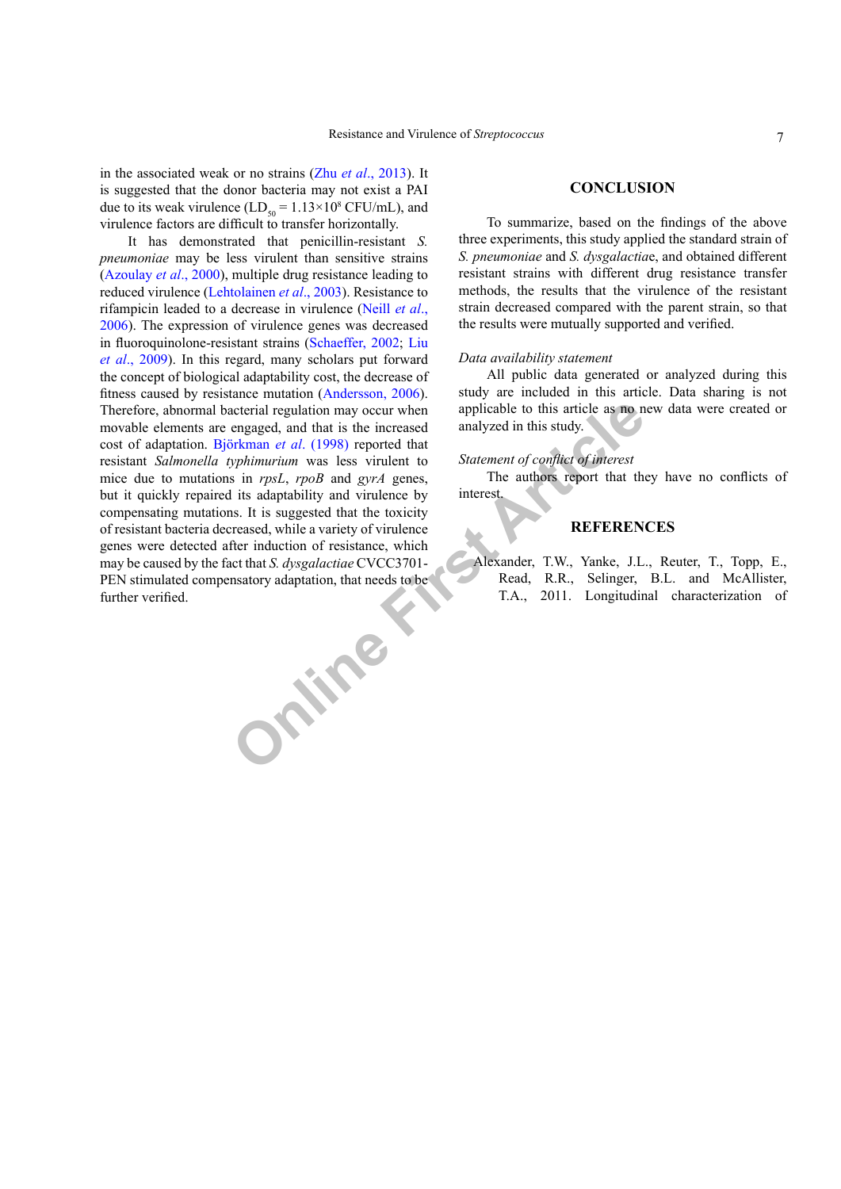in the associated weak or no strains (Zhu *et al*[., 2013](#page-9-11)). It is suggested that the donor bacteria may not exist a PAI due to its weak virulence  $(LD_{50} = 1.13 \times 10^8 \text{ CFU/mL})$ , and virulence factors are difficult to transfer horizontally.

It has demonstrated that penicillin-resistant *S. pneumoniae* may be less virulent than sensitive strains ([Azoulay](#page-7-15) *et al*., 2000), multiple drug resistance leading to reduced virulence ([Lehtolainen](#page-8-9) *et al*., 2003). Resistance to rifampicin leaded to a decrease in virulence [\(Neill](#page-8-10) *et al*., [2006](#page-8-10)). The expression of virulence genes was decreased in fluoroquinolone-resistant strains ([Schaeffer, 2002;](#page-9-12) [Liu](#page-8-11) *et al*[., 2009](#page-8-11)). In this regard, many scholars put forward the concept of biological adaptability cost, the decrease of fitness caused by resistance mutation ([Andersson, 2006](#page-7-16)). Therefore, abnormal bacterial regulation may occur when movable elements are engaged, and that is the increased cost of adaptation. Björkman *et al*. (1998) reported that resistant *Salmonella typhimurium* was less virulent to mice due to mutations in *rpsL*, *rpoB* and *gyrA* genes, but it quickly repaired its adaptability and virulence by compensating mutations. It is suggested that the toxicity of resistant bacteria decreased, while a variety of virulence genes were detected after induction of resistance, which may be caused by the fact that *S. dysgalactiae* CVCC3701- PEN stimulated compensatory adaptation, that needs to be further verified.

**ONLINE** 

## **CONCLUSION**

To summarize, based on the findings of the above three experiments, this study applied the standard strain of *S. pneumoniae* and *S. dysgalactia*e, and obtained different resistant strains with different drug resistance transfer methods, the results that the virulence of the resistant strain decreased compared with the parent strain, so that the results were mutually supported and verified.

#### *Data availability statement*

All public data generated or analyzed during this study are included in this article. Data sharing is not applicable to this article as no new data were created or analyzed in this study.

## *Statement of conflict of interest*

The authors report that they have no conflicts of interest.

## **REFERENCES**

<span id="page-6-0"></span>Alexander, T.W., Yanke, J.L., Reuter, T., Topp, E., Read, R.R., Selinger, B.L. and McAllister, T.A., 2011. Longitudinal characterization of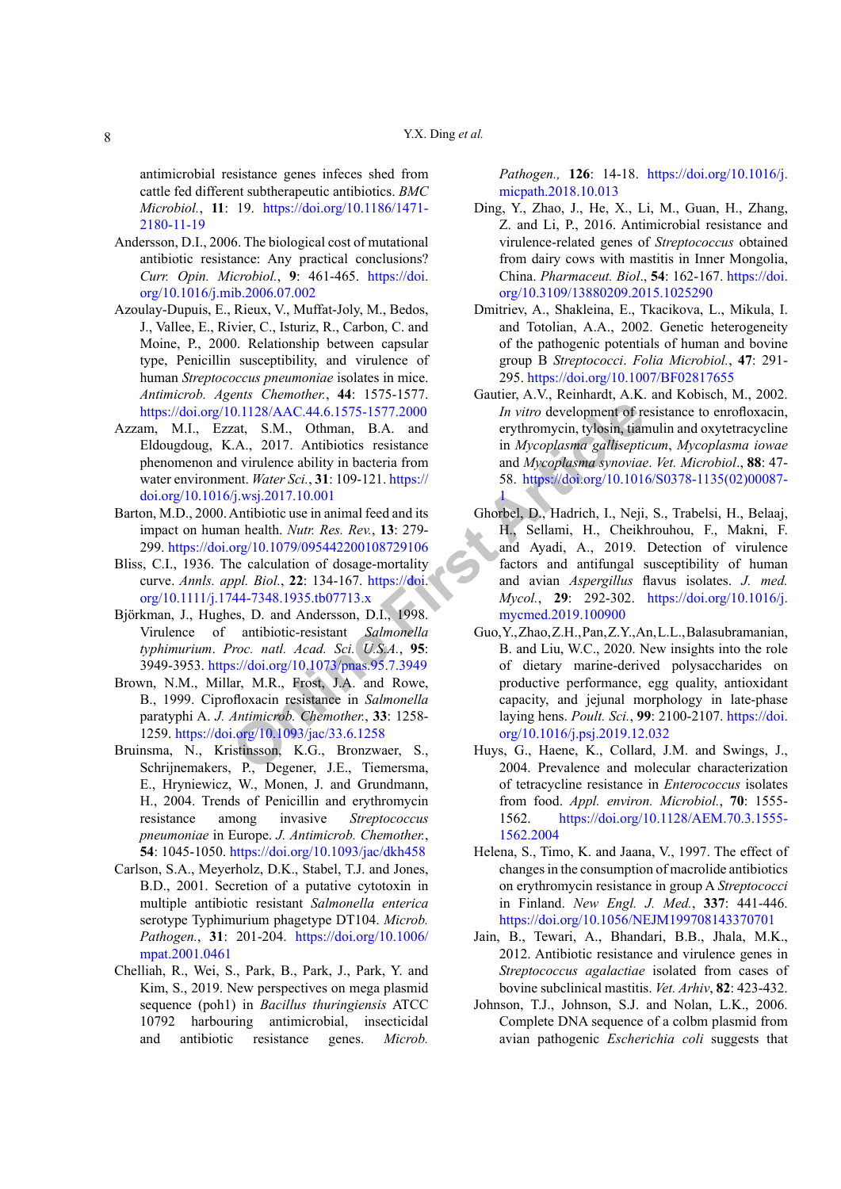Y.X. Ding *et al.*

antimicrobial resistance genes infeces shed from cattle fed different subtherapeutic antibiotics. *BMC Microbiol.*, **11**: 19. [https://doi.org/10.1186/1471-](https://doi.org/10.1186/1471-2180-11-19) [2180-11-19](https://doi.org/10.1186/1471-2180-11-19)

- <span id="page-7-16"></span>Andersson, D.I., 2006. The biological cost of mutational antibiotic resistance: Any practical conclusions? *Curr. Opin. Microbiol.*, **9**: 461-465. [https://doi.](https://doi.org/10.1016/j.mib.2006.07.002) [org/10.1016/j.mib.2006.07.002](https://doi.org/10.1016/j.mib.2006.07.002)
- <span id="page-7-15"></span>Azoulay-Dupuis, E., Rieux, V., Muffat-Joly, M., Bedos, J., Vallee, E., Rivier, C., Isturiz, R., Carbon, C. and Moine, P., 2000. Relationship between capsular type, Penicillin susceptibility, and virulence of human *Streptococcus pneumoniae* isolates in mice. *Antimicrob. Agents Chemother.*, **44**: 1575-1577. <https://doi.org/10.1128/AAC.44.6.1575-1577.2000>
- <span id="page-7-4"></span>Azzam, M.I., Ezzat, S.M., Othman, B.A. and Eldougdoug, K.A., 2017. Antibiotics resistance phenomenon and virulence ability in bacteria from water environment. *Water Sci.*, **31**: 109-121. https:// [doi.org/10.1016/j.wsj.2017.10.001](https://doi.org/10.1016/j.wsj.2017.10.001)
- <span id="page-7-12"></span>Barton, M.D., 2000. Antibiotic use in animal feed and its impact on human health. *Nutr. Res. Rev.*, **13**: 279- 299. <https://doi.org/10.1079/095442200108729106>
- <span id="page-7-7"></span>Bliss, C.I., 1936. The calculation of dosage-mortality curve. *Annls. appl. Biol.*, **22**: 134-167. https://doi. [org/10.1111/j.1744-7348.1935.tb07713.x](https://doi.org/10.1111/j.1744-7348.1935.tb07713.x)
- Björkman, J., Hughes, D. and Andersson, D.I., 1998. Virulence of antibiotic-resistant *Salmonella typhimurium*. *Proc. natl. Acad. Sci. U.S.A.*, **95**: 3949-3953. https://doi.org/10.1073/pnas.95.7.3949
- <span id="page-7-11"></span>Brown, N.M., Millar, M.R., Frost, J.A. and Rowe, B., 1999. Ciprofloxacin resistance in *Salmonella* paratyphi A. *J. Antimicrob. Chemother.*, **33**: 1258- 1259. <https://doi.org/10.1093/jac/33.6.1258>
- <span id="page-7-10"></span>Bruinsma, N., Kristinsson, K.G., Bronzwaer, S., Schrijnemakers, P., Degener, J.E., Tiemersma, E., Hryniewicz, W., Monen, J. and Grundmann, H., 2004. Trends of Penicillin and erythromycin resistance among invasive *Streptococcus pneumoniae* in Europe. *J. Antimicrob. Chemother.*, **54**: 1045-1050. <https://doi.org/10.1093/jac/dkh458>
- <span id="page-7-14"></span><span id="page-7-9"></span>Carlson, S.A., Meyerholz, D.K., Stabel, T.J. and Jones, B.D., 2001. Secretion of a putative cytotoxin in multiple antibiotic resistant *Salmonella enterica* serotype Typhimurium phagetype DT104. *Microb. Pathogen.*, **31**: 201-204. [https://doi.org/10.1006/](https://doi.org/10.1006/mpat.2001.0461) [mpat.2001.0461](https://doi.org/10.1006/mpat.2001.0461)
- <span id="page-7-13"></span><span id="page-7-8"></span><span id="page-7-2"></span>Chelliah, R., Wei, S., Park, B., Park, J., Park, Y. and Kim, S., 2019. New perspectives on mega plasmid sequence (poh1) in *Bacillus thuringiensis* ATCC 10792 harbouring antimicrobial, insecticidal and antibiotic resistance genes. *Microb.*

*Pathogen.,* **126**: 14-18. [https://doi.org/10.1016/j.](https://doi.org/10.1016/j.micpath.2018.10.013) [micpath.2018.10.013](https://doi.org/10.1016/j.micpath.2018.10.013)

- <span id="page-7-1"></span>Ding, Y., Zhao, J., He, X., Li, M., Guan, H., Zhang, Z. and Li, P., 2016. Antimicrobial resistance and virulence-related genes of *Streptococcus* obtained from dairy cows with mastitis in Inner Mongolia, China. *Pharmaceut. Biol*., **54**: 162-167. [https://doi.](https://doi.org/10.3109/13880209.2015.1025290) [org/10.3109/13880209.2015.1025290](https://doi.org/10.3109/13880209.2015.1025290)
- Dmitriev, A., Shakleina, E., Tkacikova, L., Mikula, I. and Totolian, A.A., 2002. Genetic heterogeneity of the pathogenic potentials of human and bovine group B *Streptococci*. *Folia Microbiol.*, **47**: 291- 295. <https://doi.org/10.1007/BF02817655>
- <span id="page-7-6"></span><span id="page-7-5"></span><span id="page-7-3"></span><span id="page-7-0"></span>Gautier, A.V., Reinhardt, A.K. and Kobisch, M., 2002. *In vitro* development of resistance to enrofloxacin, erythromycin, tylosin, tiamulin and oxytetracycline in *Mycoplasma gallisepticum*, *Mycoplasma iowae* and *Mycoplasma synoviae*. *Vet. Microbiol*., **88**: 47- 58. [https://doi.org/10.1016/S0378-1135\(02\)00087-](https://doi.org/10.1016/S0378-1135(02)00087-1) 1
- 0.1128/[A](https://doi.org/10.1016/S0378-1135(02)00087-1)AC.44.6.1575-1577.2000<br>
2.01128/AAC.44.6.1575-1577.2000<br>
2.01128/AAC.44.6.1575-1577.2000<br>
2.017. Antibiotics resistance in *Mycoplasma galliseptical*<br>
divruence ability in bacteria from<br>  $MxcapB(x) = 1$ . Hens.<br>  $f_1.w_1$ Ghorbel, D., Hadrich, I., Neji, S., Trabelsi, H., Belaaj, H., Sellami, H., Cheikhrouhou, F., Makni, F. and Ayadi, A., 2019. Detection of virulence factors and antifungal susceptibility of human and avian *Aspergillus* flavus isolates. *J. med. Mycol.*, **29**: 292-302. [https://doi.org/10.1016/j.](https://doi.org/10.1016/j.mycmed.2019.100900) mycmed.2019.100900
	- Guo, Y., Zhao, Z.H., Pan, Z.Y., An, L.L., Balasubramanian, B. and Liu, W.C., 2020. New insights into the role of dietary marine-derived polysaccharides on productive performance, egg quality, antioxidant capacity, and jejunal morphology in late-phase laying hens. *Poult. Sci.*, **99**: 2100-2107. [https://doi.](https://doi.org/10.1016/j.psj.2019.12.032) org/10.1016/j.psj.2019.12.032
	- Huys, G., Haene, K., Collard, J.M. and Swings, J., 2004. Prevalence and molecular characterization of tetracycline resistance in *Enterococcus* isolates from food. *Appl. environ. Microbiol.*, **70**: 1555- 1562. [https://doi.org/10.1128/AEM.70.3.1555-](https://doi.org/10.1128/AEM.70.3.1555-1562.2004) [1562.2004](https://doi.org/10.1128/AEM.70.3.1555-1562.2004)
	- Helena, S., Timo, K. and Jaana, V., 1997. The effect of changes in the consumption of macrolide antibiotics on erythromycin resistance in group A *Streptococci*  in Finland. *New Engl. J. Med.*, **337**: 441-446. <https://doi.org/10.1056/NEJM199708143370701>
	- Jain, B., Tewari, A., Bhandari, B.B., Jhala, M.K., 2012. Antibiotic resistance and virulence genes in *Streptococcus agalactiae* isolated from cases of bovine subclinical mastitis. *Vet. Arhiv*, **82**: 423-432.
	- Johnson, T.J., Johnson, S.J. and Nolan, L.K., 2006. Complete DNA sequence of a colbm plasmid from avian pathogenic *Escherichia coli* suggests that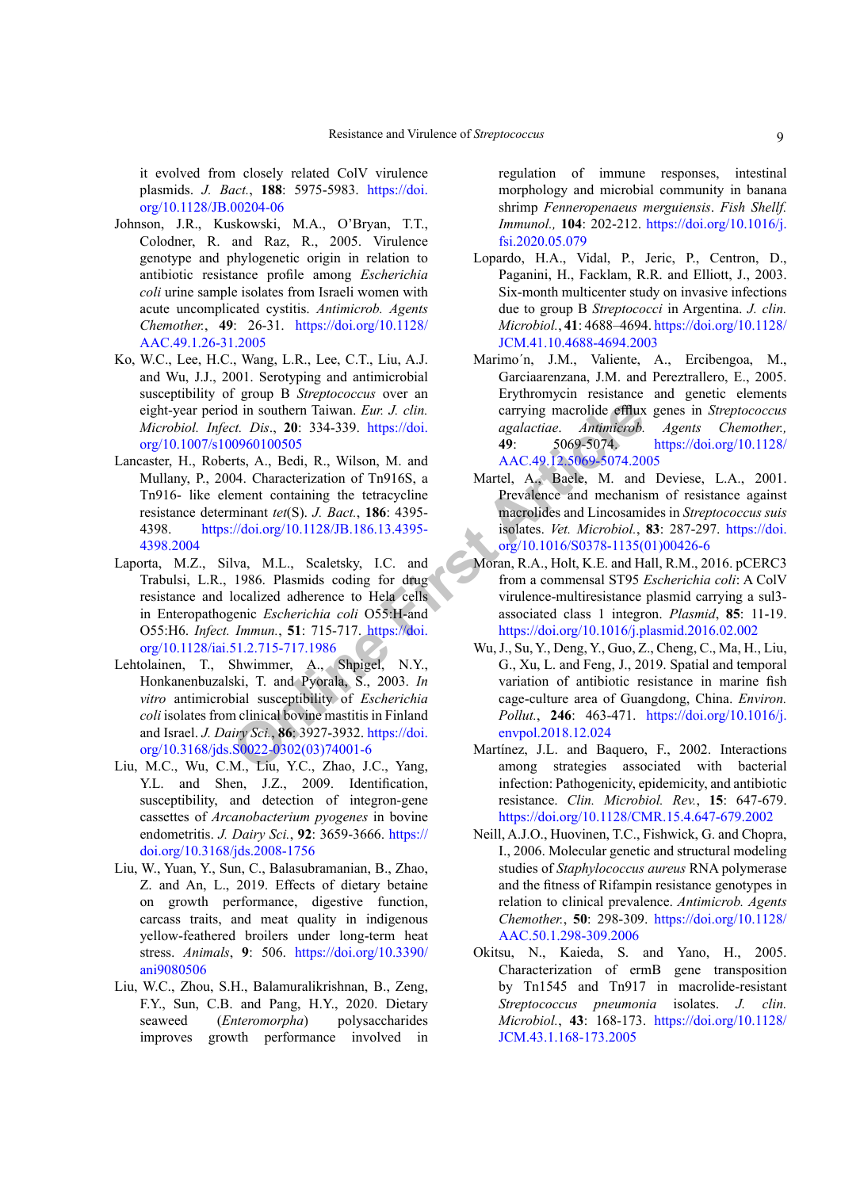it evolved from closely related ColV virulence plasmids. *J. Bact.*, **188**: 5975-5983. [https://doi.](https://doi.org/10.1128/JB.00204-06) [org/10.1128/JB.00204-06](https://doi.org/10.1128/JB.00204-06)

- Johnson, J.R., Kuskowski, M.A., O'Bryan, T.T., Colodner, R. and Raz, R., 2005. Virulence genotype and phylogenetic origin in relation to antibiotic resistance profile among *Escherichia coli* urine sample isolates from Israeli women with acute uncomplicated cystitis. *Antimicrob. Agents Chemother.*, **49**: 26-31. [https://doi.org/10.1128/](https://doi.org/10.1128/AAC.49.1.26-31.2005) [AAC.49.1.26-31.2005](https://doi.org/10.1128/AAC.49.1.26-31.2005)
- <span id="page-8-4"></span>Ko, W.C., Lee, H.C., Wang, L.R., Lee, C.T., Liu, A.J. and Wu, J.J., 2001. Serotyping and antimicrobial susceptibility of group B *Streptococcus* over an eight-year period in southern Taiwan. *Eur. J. clin. Microbiol. Infect. Dis*., **20**: 334-339. https://doi. [org/10.1007/s100960100505](https://doi.org/10.1007/s100960100505)
- <span id="page-8-6"></span>d in southern Taiwan. *Eur. J. clin.* carrying macrolide efflux *ct. Dis.*, 20: 334-339. https://doi. agalactiae. Antimicrob.<br>
00960100505 49: 5069-5074.<br>
19: 5069-5074.<br>
19: 5069-5074.<br>
19: 5069-5074.<br>
19: 5069-5074.<br>
19: Lancaster, H., Roberts, A., Bedi, R., Wilson, M. and Mullany, P., 2004. Characterization of Tn916S, a Tn916- like element containing the tetracycline resistance determinant *tet*(S). *J. Bact.*, **186**: 4395- 4398. https://doi.org/10.1128/JB.186.13.4395- [4398.2004](https://doi.org/10.1128/JB.186.13.4395-4398.2004)
- <span id="page-8-8"></span>Laporta, M.Z., Silva, M.L., Scaletsky, I.C. and Trabulsi, L.R., 1986. Plasmids coding for drug resistance and localized adherence to Hela cells in Enteropathogenic *Escherichia coli* O55:H-and O55:H6. *Infect. Immun.*, **51**: 715-717. https://doi. [org/10.1128/iai.51.2.715-717.1986](https://doi.org/10.1128/iai.51.2.715-717.1986)
- <span id="page-8-9"></span>Lehtolainen, T., Shwimmer, A., Shpigel, N.Y., Honkanenbuzalski, T. and Pyorala, S., 2003. *In vitro* antimicrobial susceptibility of *Escherichia coli* isolates from clinical bovine mastitis in Finland and Israel. *J. Dairy Sci.*, **86**: 3927-3932. https://doi. [org/10.3168/jds.S0022-0302\(03\)74001-6](https://doi.org/10.3168/jds.S0022-0302(03)74001-6)
- <span id="page-8-11"></span>Liu, M.C., Wu, C.M., Liu, Y.C., Zhao, J.C., Yang, Y.L. and Shen, J.Z., 2009. Identification, susceptibility, and detection of integron-gene cassettes of *Arcanobacterium pyogenes* in bovine endometritis. *J. Dairy Sci.*, **92**: 3659-3666. [https://](https://doi.org/10.3168/jds.2008-1756) [doi.org/10.3168/jds.2008-1756](https://doi.org/10.3168/jds.2008-1756)
- <span id="page-8-2"></span>Liu, W., Yuan, Y., Sun, C., Balasubramanian, B., Zhao, Z. and An, L., 2019. Effects of dietary betaine on growth performance, digestive function, carcass traits, and meat quality in indigenous yellow-feathered broilers under long-term heat stress. *Animals*, **9**: 506. [https://doi.org/10.3390/](https://doi.org/10.3390/ani9080506) [ani9080506](https://doi.org/10.3390/ani9080506)
- <span id="page-8-1"></span>Liu, W.C., Zhou, S.H., Balamuralikrishnan, B., Zeng, F.Y., Sun, C.B. and Pang, H.Y., 2020. Dietary seaweed (*Enteromorpha*) polysaccharides improves growth performance involved in

regulation of immune responses, intestinal morphology and microbial community in banana shrimp *Fenneropenaeus merguiensis*. *Fish Shellf. Immunol.,* **104**: 202-212. [https://doi.org/10.1016/j.](https://doi.org/10.1016/j.fsi.2020.05.079) [fsi.2020.05.079](https://doi.org/10.1016/j.fsi.2020.05.079)

- Lopardo, H.A., Vidal, P., Jeric, P., Centron, D., Paganini, H., Facklam, R.R. and Elliott, J., 2003. Six-month multicenter study on invasive infections due to group B *Streptococci* in Argentina. *J. clin. Microbiol.*, **41**: 4688–4694. [https://doi.org/10.1128/](https://doi.org/10.1128/JCM.41.10.4688-4694.2003) [JCM.41.10.4688-4694.2003](https://doi.org/10.1128/JCM.41.10.4688-4694.2003)
- Marimo´n, J.M., Valiente, A., Ercibengoa, M., Garciaarenzana, J.M. and Pereztrallero, E., 2005. Erythromycin resistance and genetic elements carrying macrolide efflux genes in *Streptococcus agalactiae*. *Antimicrob. Agents Chemother.,*  **49**: 5069-5074. [https://doi.org/10.1128/](https://doi.org/10.1128/AAC.49.12.5069-5074.2005) AAC.49.12.5069-5074.2005
- <span id="page-8-5"></span>Martel, A., Baele, M. and Deviese, L.A., 2001. Prevalence and mechanism of resistance against macrolides and Lincosamides in *Streptococcus suis* isolates. *Vet. Microbiol.*, **83**: 287-297. [https://doi.](https://doi.org/10.1016/S0378-1135(01)00426-6) [org/10.1016/S0378-1135\(01\)00426-6](https://doi.org/10.1016/S0378-1135(01)00426-6)
- <span id="page-8-3"></span>Moran, R.A., Holt, K.E. and Hall, R.M., 2016. pCERC3 from a commensal ST95 *Escherichia coli*: A ColV virulence-multiresistance plasmid carrying a sul3 associated class 1 integron. *Plasmid*, **85**: 11-19. <https://doi.org/10.1016/j.plasmid.2016.02.002>
- <span id="page-8-0"></span>Wu, J., Su, Y., Deng, Y., Guo, Z., Cheng, C., Ma, H., Liu, G., Xu, L. and Feng, J., 2019. Spatial and temporal variation of antibiotic resistance in marine fish cage-culture area of Guangdong, China. *Environ. Pollut.*, **246**: 463-471. [https://doi.org/10.1016/j.](https://doi.org/10.1016/j.envpol.2018.12.024) envpol.2018.12.024
- Martínez, J.L. and Baquero, F., 2002. Interactions among strategies associated with bacterial infection: Pathogenicity, epidemicity, and antibiotic resistance. *Clin. Microbiol. Rev.*, **15**: 647-679. <https://doi.org/10.1128/CMR.15.4.647-679.2002>
- <span id="page-8-10"></span>Neill, A.J.O., Huovinen, T.C., Fishwick, G. and Chopra, I., 2006. Molecular genetic and structural modeling studies of *Staphylococcus aureus* RNA polymerase and the fitness of Rifampin resistance genotypes in relation to clinical prevalence. *Antimicrob. Agents Chemother.*, **50**: 298-309. [https://doi.org/10.1128/](https://doi.org/10.1128/AAC.50.1.298-309.2006) [AAC.50.1.298-309.2006](https://doi.org/10.1128/AAC.50.1.298-309.2006)
- <span id="page-8-7"></span>Okitsu, N., Kaieda, S. and Yano, H., 2005. Characterization of ermB gene transposition by Tn1545 and Tn917 in macrolide-resistant *Streptococcus pneumonia* isolates. *J. clin. Microbiol.*, **43**: 168-173. [https://doi.org/10.1128/](https://doi.org/10.1128/JCM.43.1.168-173.2005) [JCM.43.1.168-173.2005](https://doi.org/10.1128/JCM.43.1.168-173.2005)